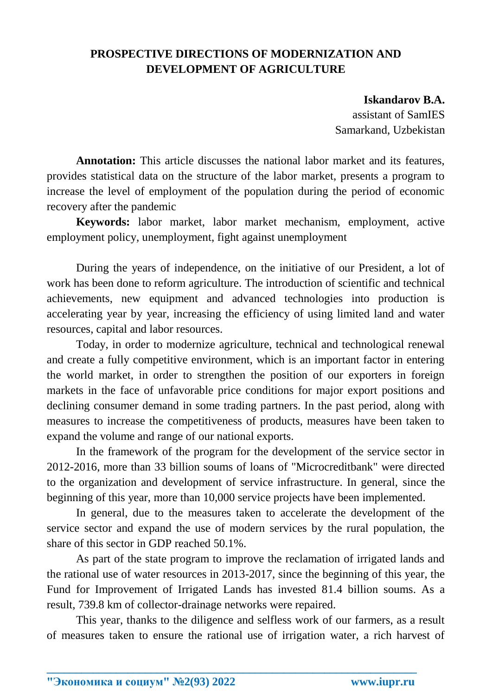## **PROSPECTIVE DIRECTIONS OF MODERNIZATION AND DEVELOPMENT OF AGRICULTURE**

## **Iskandarov B.A.**

assistant of SamIES Samarkand, Uzbekistan

**Annotation:** This article discusses the national labor market and its features, provides statistical data on the structure of the labor market, presents a program to increase the level of employment of the population during the period of economic recovery after the pandemic

**Keywords:** labor market, labor market mechanism, employment, active employment policy, unemployment, fight against unemployment

During the years of independence, on the initiative of our President, a lot of work has been done to reform agriculture. The introduction of scientific and technical achievements, new equipment and advanced technologies into production is accelerating year by year, increasing the efficiency of using limited land and water resources, capital and labor resources.

Today, in order to modernize agriculture, technical and technological renewal and create a fully competitive environment, which is an important factor in entering the world market, in order to strengthen the position of our exporters in foreign markets in the face of unfavorable price conditions for major export positions and declining consumer demand in some trading partners. In the past period, along with measures to increase the competitiveness of products, measures have been taken to expand the volume and range of our national exports.

In the framework of the program for the development of the service sector in 2012-2016, more than 33 billion soums of loans of "Microcreditbank" were directed to the organization and development of service infrastructure. In general, since the beginning of this year, more than 10,000 service projects have been implemented.

In general, due to the measures taken to accelerate the development of the service sector and expand the use of modern services by the rural population, the share of this sector in GDP reached 50.1%.

As part of the state program to improve the reclamation of irrigated lands and the rational use of water resources in 2013-2017, since the beginning of this year, the Fund for Improvement of Irrigated Lands has invested 81.4 billion soums. As a result, 739.8 km of collector-drainage networks were repaired.

This year, thanks to the diligence and selfless work of our farmers, as a result of measures taken to ensure the rational use of irrigation water, a rich harvest of

**\_\_\_\_\_\_\_\_\_\_\_\_\_\_\_\_\_\_\_\_\_\_\_\_\_\_\_\_\_\_\_\_\_\_\_\_\_\_\_\_\_\_\_\_\_\_\_\_\_\_\_\_\_\_\_\_\_\_\_\_\_\_\_\_**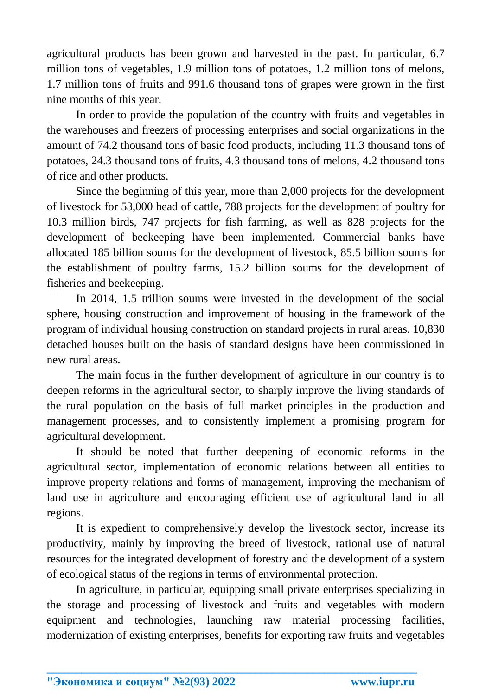agricultural products has been grown and harvested in the past. In particular, 6.7 million tons of vegetables, 1.9 million tons of potatoes, 1.2 million tons of melons, 1.7 million tons of fruits and 991.6 thousand tons of grapes were grown in the first nine months of this year.

In order to provide the population of the country with fruits and vegetables in the warehouses and freezers of processing enterprises and social organizations in the amount of 74.2 thousand tons of basic food products, including 11.3 thousand tons of potatoes, 24.3 thousand tons of fruits, 4.3 thousand tons of melons, 4.2 thousand tons of rice and other products.

Since the beginning of this year, more than 2,000 projects for the development of livestock for 53,000 head of cattle, 788 projects for the development of poultry for 10.3 million birds, 747 projects for fish farming, as well as 828 projects for the development of beekeeping have been implemented. Commercial banks have allocated 185 billion soums for the development of livestock, 85.5 billion soums for the establishment of poultry farms, 15.2 billion soums for the development of fisheries and beekeeping.

In 2014, 1.5 trillion soums were invested in the development of the social sphere, housing construction and improvement of housing in the framework of the program of individual housing construction on standard projects in rural areas. 10,830 detached houses built on the basis of standard designs have been commissioned in new rural areas.

The main focus in the further development of agriculture in our country is to deepen reforms in the agricultural sector, to sharply improve the living standards of the rural population on the basis of full market principles in the production and management processes, and to consistently implement a promising program for agricultural development.

It should be noted that further deepening of economic reforms in the agricultural sector, implementation of economic relations between all entities to improve property relations and forms of management, improving the mechanism of land use in agriculture and encouraging efficient use of agricultural land in all regions.

It is expedient to comprehensively develop the livestock sector, increase its productivity, mainly by improving the breed of livestock, rational use of natural resources for the integrated development of forestry and the development of a system of ecological status of the regions in terms of environmental protection.

In agriculture, in particular, equipping small private enterprises specializing in the storage and processing of livestock and fruits and vegetables with modern equipment and technologies, launching raw material processing facilities, modernization of existing enterprises, benefits for exporting raw fruits and vegetables

**\_\_\_\_\_\_\_\_\_\_\_\_\_\_\_\_\_\_\_\_\_\_\_\_\_\_\_\_\_\_\_\_\_\_\_\_\_\_\_\_\_\_\_\_\_\_\_\_\_\_\_\_\_\_\_\_\_\_\_\_\_\_\_\_**